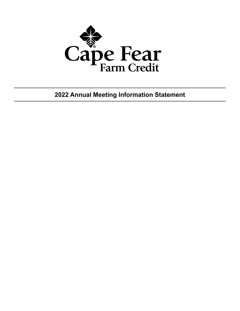

# **2022 Annual Meeting Information Statement**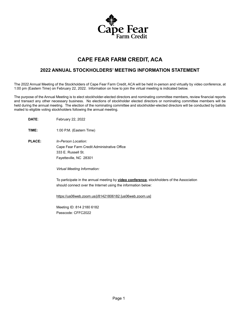

# **CAPE FEAR FARM CREDIT, ACA**

### **2022 ANNUAL STOCKHOLDERS' MEETING INFORMATION STATEMENT**

The 2022 Annual Meeting of the Stockholders of Cape Fear Farm Credit, ACA will be held in-person and virtually by video conference, at 1:00 pm (Eastern Time) on February 22, 2022. Information on how to join the virtual meeting is indicated below.

The purpose of the Annual Meeting is to elect stockholder-elected directors and nominating committee members, review financial reports and transact any other necessary business. No elections of stockholder elected directors or nominating committee members will be held during the annual meeting. The election of the nominating committee and stockholder-elected directors will be conducted by ballots mailed to eligible voting stockholders following the annual meeting.

- DATE: **DATE**: February 22, 2022
- TIME: 1:00 P.M. (Eastern Time)
- PLACE: **In-Person Location:** Cape Fear Farm Credit Administrative Office 333 E. Russell St. Fayetteville, NC 28301

*Virtual Meeting Information:* 

To participate in the annual meeting by **video conference**, stockholders of the Association should connect over the Internet using the information below:

https://us06web.zoom.us/j/81421806182 [us06web.zoom.us]

Meeting ID: 814 2180 6182 Passcode: CFFC2022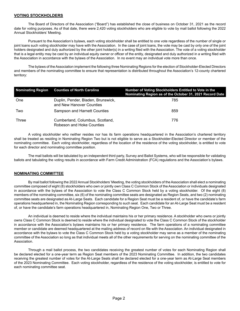#### **VOTING STOCKHOLDERS**

The Board of Directors of the Association ("Board") has established the close of business on October 31, 2021 as the record date for voting purposes. As of that date, there were 2,420 voting stockholders who are eligible to vote by mail ballot following the 2022 Annual Stockholders' Meeting.

Pursuant to the Association's bylaws, each voting stockholder shall be entitled to one vote regardless of the number of single or joint loans such voting stockholder may have with the Association. In the case of joint loans, the vote may be cast by only one of the joint holders designated and duly authorized by the other joint holder(s) in a writing filed with the Association. The vote of a voting stockholder that is a legal entity may be cast by an individual equity owner or officer of the entity, designated and duly authorized in a writing filed with the Association in accordance with the bylaws of the Association. In no event may an individual vote more than once.

The bylaws of the Association implement the following three Nominating Regions for the election of Stockholder-Elected Directors and members of the nominating committee to ensure that representation is distributed throughout the Association's 12-county chartered territory:

| <b>Nominating Region</b> | <b>Counties of North Carolina</b>                              | Number of Voting Stockholders Entitled to Vote in the<br>Nominating Region as of the October 31, 2021 Record Date |
|--------------------------|----------------------------------------------------------------|-------------------------------------------------------------------------------------------------------------------|
| One                      | Duplin, Pender, Bladen, Brunswick,<br>and New Hanover Counties | 785                                                                                                               |
| Two                      | Sampson and Harnett Counties                                   | 859                                                                                                               |
| Three                    | Cumberland, Columbus, Scotland,<br>Robeson and Hoke Counties   | 776                                                                                                               |

A voting stockholder who neither resides nor has its farm operations headquartered in the Association's chartered territory shall be treated as residing in Nominating Region Two but is not eligible to serve as a Stockholder-Elected Director or member of the nominating committee. Each voting stockholder, regardless of the location of the residence of the voting stockholder, is entitled to vote for each director and nominating committee position.

The mail ballots will be tabulated by an independent third party, Survey and Ballot Systems, who will be responsible for validating ballots and tabulating the voting results in accordance with Farm Credit Administration (FCA) regulations and the Association's bylaws.

#### **NOMINATING COMMITTEE**

By mail ballot following the 2022 Annual Stockholders' Meeting, the voting stockholders of the Association shall elect a nominating committee composed of eight (8) stockholders who own or jointly own Class C Common Stock of the Association or individuals designated in accordance with the bylaws of the Association to vote the Class C Common Stock held by a voting stockholder. Of the eight (8) members of the nominating committee, six (6) of the nominating committee seats are designated as Region Seats, and two (2) nominating committee seats are designated as At-Large Seats. Each candidate for a Region Seat must be a resident of, or have the candidate's farm operations headquartered in, the Nominating Region corresponding to such seat. Each candidate for an At-Large Seat must be a resident of, or have the candidate's farm operations headquartered in, Nominating Region One, Two or Three.

An individual is deemed to reside where the individual maintains his or her primary residence. A stockholder who owns or jointly owns Class C Common Stock is deemed to reside where the individual designated to vote the Class C Common Stock of the stockholder in accordance with the Association's bylaws maintains his or her primary residence. The farm operations of a nominating committee member or candidate are deemed headquartered at the mailing address of record on file with the Association. An individual designated in accordance with the bylaws to vote the Class C Common Stock held by a voting stockholder may serve as a member of the nominating committee of the Association so long as that individual meets all of the other requirements for serving on the nominating committee of the Association.

Through a mail ballot process, the two candidates receiving the greatest number of votes for each Nominating Region shall be declared elected for a one-year term as Region Seat members of the 2023 Nominating Committee. In addition, the two candidates receiving the greatest number of votes for the At-Large Seats shall be declared elected for a one-year term as At-Large Seat members of the 2023 Nominating Committee. Each voting stockholder, regardless of the residence of the voting stockholder, is entitled to vote for each nominating committee seat.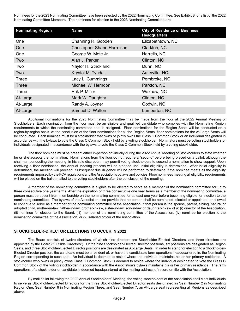Nominees for the 2023 Nominating Committee have been selected by the 2022 Nominating Committee. See Exhibit B for a list of the 2022 Nominating Committee Members. The nominees for election to the 2023 Nominating Committee are:

| <b>Nominating Region</b> | <b>Name</b>                        | <b>City of Residence or Business</b><br><b>Headquarters</b> |
|--------------------------|------------------------------------|-------------------------------------------------------------|
| One                      | Channing R. Gooden                 | Elizabethtown, NC                                           |
| One                      | <b>Christopher Shane Harrelson</b> | Clarkton, NC                                                |
| One                      | George W. Mote Jr.                 | Harrells, NC                                                |
| Two                      | Alan J. Parker                     | Clinton, NC                                                 |
| Two                      | Naylor H. Strickland               | Dunn, NC                                                    |
| Two                      | Krystal M. Tyndall                 | Autryville, NC                                              |
| Three                    | Lacy L. Cummings                   | Pembroke, NC                                                |
| <b>Three</b>             | Michael W. Herndon                 | Parkton, NC                                                 |
| <b>Three</b>             | Erik P. Miller                     | Waxhaw, NC                                                  |
| At-Large                 | Mark W. Daughtry                   | Clinton, NC                                                 |
| At-Large                 | Randy A. Joyner                    | Godwin, NC                                                  |
| At-Large                 | Samuel D. Walton                   | Lumberton, NC                                               |

Additional nominations for the 2023 Nominating Committee may be made from the floor at the 2022 Annual Meeting of Stockholders. Each nomination from the floor must be an eligible and qualified candidate who complies with the Nominating Region requirements to which the nominating committee seat is assigned. Floor nominations for the Region Seats will be conducted on a region-by-region basis. At the conclusion of the floor nominations for all the Region Seats, floor nominations for the At-Large Seats will be conducted. Each nominee must be a stockholder that owns or jointly owns the Class C Common Stock or an individual designated in accordance with the bylaws to vote the Class C Common Stock held by a voting stockholder. Nominators must be voting stockholders or individuals designated in accordance with the bylaws to vote the Class C Common Stock held by a voting stockholder.

The floor nominee must be present either in-person or virtually during the 2022 Annual Meeting of Stockholders to state whether he or she accepts the nomination. Nominations from the floor do not require a "second" before being placed on a ballot, although the chairman conducting the meeting, in his sole discretion, may permit voting stockholders to second a nomination to show support. Upon receiving a floor nomination, the Annual Meeting process will be stopped until initial eligibility is determined. After initial eligibility is determined, the meeting will proceed. Subsequent due diligence will be performed to determine if the nominee meets all the eligibility requirements imposed by the FCA regulations and the Association's bylaws and policies. Floor nominees meeting all eligibility requirements will be placed on the ballot mailed to the voting stockholders after the conclusion of the meeting.

A member of the nominating committee is eligible to be elected to serve as a member of the nominating committee for up to three consecutive one year terms. After the expiration of three consecutive one year terms as a member of the nominating committee, a person must be absent from membership on the nominating committee for at least one year before becoming eligible for election to the nominating committee. The bylaws of the Association also provide that no person shall be nominated, elected or appointed, or allowed to continue to serve as a member of the nominating committee of the Association, if that person is the spouse, parent, sibling, natural or adopted child, mother-in-law, father-in-law, brother-in-law, sister-in-law, son-in-law or daughter-in-law of a: (i) director of the Association, (ii) nominee for election to the Board, (iii) member of the nominating committee of the Association, (iv) nominee for election to the nominating committee of the Association, or (v) salaried officer of the Association.

#### **STOCKHOLDER-DIRECTOR ELECTIONS TO OCCUR IN 2022**

 Region corresponding to such seat. An individual is deemed to reside where the individual maintains his or her primary residence. A The Board consists of twelve directors, of which nine directors are Stockholder-Elected Directors, and three directors are appointed by the Board ("Outside Directors"). Of the nine Stockholder-Elected Director positions, six positions are designated as Region Seats, and three Stockholder-Elected Director positions are designated as At-Large Seats. In order to stand for election to a Stockholder-Elected Director position, the candidate must be a resident of, or have the candidate's farm operations headquartered in, the Nominating stockholder who owns or jointly owns Class C Common Stock is deemed to reside where the individual designated to vote the Class C Common Stock of the voting stockholder in accordance with the Association's bylaws maintains his or her primary residence. The farm operations of a stockholder or candidate is deemed headquartered at the mailing address of record on file with the Association.

By mail ballot following the 2022 Annual Stockholders' Meeting, the voting stockholders of the Association shall elect individuals to serve as Stockholder-Elected Directors for the three Stockholder-Elected Director seats designated as Seat Number 2 in Nominating Region One, Seat Number 6 in Nominating Region Three, and Seat Number 7, an At-Large seat representing all Regions as described above.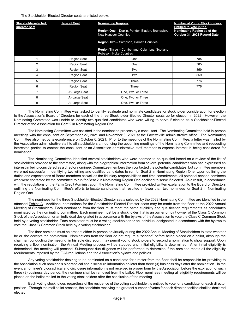The Stockholder-Elected Director seats are listed below.

| Stockholder-elected<br><b>Director Seat</b> | <b>Type of Seat</b> | <b>Nominating Regions</b><br>Region One - Duplin, Pender, Bladen, Brunswick,<br><b>New Hanover Counties</b><br><b>Region Two</b> - Sampson, Harnett Counties<br><b>Region Three</b> – Cumberland, Columbus, Scotland,<br>Robeson, Hoke Counties | <b>Number of Voting Stockholders</b><br><b>Entitled to Vote in the</b><br>Nominating Region as of the<br>October 31, 2021 Record Date |
|---------------------------------------------|---------------------|-------------------------------------------------------------------------------------------------------------------------------------------------------------------------------------------------------------------------------------------------|---------------------------------------------------------------------------------------------------------------------------------------|
|                                             | <b>Region Seat</b>  | One                                                                                                                                                                                                                                             | 785                                                                                                                                   |
| $\overline{2}$                              | <b>Region Seat</b>  | One                                                                                                                                                                                                                                             | 785                                                                                                                                   |
| 3                                           | <b>Region Seat</b>  | Two                                                                                                                                                                                                                                             | 859                                                                                                                                   |
| 4                                           | <b>Region Seat</b>  | Two                                                                                                                                                                                                                                             | 859                                                                                                                                   |
| 5                                           | <b>Region Seat</b>  | Three                                                                                                                                                                                                                                           | 776                                                                                                                                   |
| 6                                           | <b>Region Seat</b>  | Three                                                                                                                                                                                                                                           | 776                                                                                                                                   |
| 7                                           | At-Large Seat       | One, Two, or Three                                                                                                                                                                                                                              |                                                                                                                                       |
| 8                                           | At-Large Seat       | One, Two, or Three                                                                                                                                                                                                                              |                                                                                                                                       |
| 9                                           | At-Large Seat       | One, Two, or Three                                                                                                                                                                                                                              |                                                                                                                                       |

The Nominating Committee was tasked to identify, evaluate and nominate candidates for stockholder consideration for election to the Association's Board of Directors for each of the three Stockholder-Elected Director seats up for election in 2022. However, the Nominating Committee was unable to identify two qualified candidates who were willing to serve if elected as a Stockholder-Elected Director of the Association for Seat 2 in Nominating Region One.

The Nominating Committee was assisted in the nomination process by a consultant. The Nominating Committee held in-person meetings with the consultant on September 27, 2021 and November 3, 2021 at the Fayetteville administrative office. The Nominating Committee also met by teleconference on October 6, 2021. Prior to the meetings of the Nominating Committee, a letter was mailed by the Association administrative staff to all stockholders announcing the upcoming meetings of the Nominating Committee and requesting interested parties to contact the consultant or an Association administrative staff member to express interest in being considered for nomination.

The Nominating Committee identified several stockholders who were deemed to be qualified based on a review of the list of stockholders provided to the committee, along with the biographical information from several potential candidates who had expressed an interest in being considered as a director nominee. Committee members then contacted the potential candidates, but committee members were not successful in identifying two willing and qualified candidates to run for Seat 2 in Nominating Region One. Upon outlining the duties and expectations of Board members as well as the fiduciary responsibilities and time commitments, all potential second nominees who were contacted by the committee to run for Seat 2 in Nominating Region One declined to serve if elected. As a result, in accordance with the regulations of the Farm Credit Administration, the Nominating Committee provided written explanation to the Board of Directors outlining the Nominating Committee's efforts to locate candidates that resulted in fewer than two nominees for Seat 2 in Nominating Region One.

The nominees for the three Stockholder-Elected Director seats selected by the 2022 Nominating Committee are identified in the attached Exhibit A. Additional nominations for the Stockholder-Elected Director seats may be made from the floor at the 2022 Annual Meeting of Stockholders. Each nomination from the floor must meet the same eligibility and qualification requirements as candidates nominated by the nominating committee. Each nominee must be a stockholder that is an owner or joint owner of the Class C Common Stock of the Association or an individual designated in accordance with the bylaws of the Association to vote the Class C Common Stock held by a voting stockholder. Each nominator must be a voting stockholder or an individual designated in accordance with the bylaws to vote the Class C Common Stock held by a voting stockholder.

The floor nominee must be present either in-person or virtually during the 2022 Annual Meeting of Stockholders to state whether he or she accepts the nomination. Nominations from the floor do not require a "second" before being placed on a ballot, although the chairman conducting the meeting, in his sole discretion, may permit voting stockholders to second a nomination to show support. Upon receiving a floor nomination, the Annual Meeting process will be stopped until initial eligibility is determined. After initial eligibility is determined, the meeting will proceed. Subsequent due diligence will be performed to determine if the nominee meets all the eligibility requirements imposed by the FCA regulations and the Association's bylaws and policies.

Any voting stockholder desiring to be nominated as a candidate for director from the floor shall be responsible for providing to the Association such nominee's biographical and disclosure information no later than three (3) business days after the nomination. In the event a nominee's biographical and disclosure information is not received in proper form by the Association before the expiration of such three (3) business day period, the nominee shall be removed from the ballot. Floor nominees meeting all eligibility requirements will be placed on the ballot mailed to the voting stockholders after the conclusion of the meeting.

Each voting stockholder, regardless of the residence of the voting stockholder, is entitled to vote for a candidate for each director position. Through the mail ballot process, the candidate receiving the greatest number of votes for each director position shall be declared elected.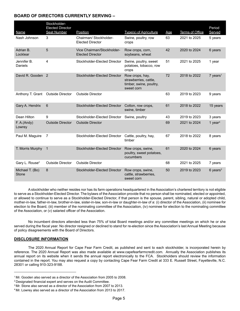#### **BOARD OF DIRECTORS CURRENTLY SERVING –**

| <b>Name</b>                | Stockholder-<br><b>Elected Director</b><br><b>Seat Number</b> | Position                                              | <b>Type(s) of Agriculture</b>                                                     | Age | Terms of Office | Period<br>Served       |
|----------------------------|---------------------------------------------------------------|-------------------------------------------------------|-----------------------------------------------------------------------------------|-----|-----------------|------------------------|
| Nash Johnson               | 3                                                             | Chairman/ Stockholder-<br><b>Elected Director</b>     | Swine, poultry, row<br>crops                                                      | 63  | 2021 to 2025    | 5 years                |
| Adrian B.<br>Locklear      | 5                                                             | Vice Chairman/Stockholder-<br><b>Elected Director</b> | Row crops, corn,<br>soybeans, wheat                                               | 42  | 2020 to 2024    | 6 years                |
| Jennifer B.<br>Daniels     | 4                                                             | Stockholder-Elected Director                          | Swine, poultry, sweet<br>potatoes, tobacco, row<br>crops                          | 51  | 2021 to 2025    | 1 year                 |
| David R. Gooden 2          |                                                               | Stockholder-Elected Director                          | Row crops, hay,<br>strawberries, cattle,<br>timber, swine, poultry,<br>sweet corn | 72  | 2018 to 2022    | $7$ years <sup>1</sup> |
| Anthony T. Grant           | <b>Outside Director</b>                                       | <b>Outside Director</b>                               |                                                                                   | 63  | 2019 to 2023    | 9 years                |
| Gary A. Hendrix            | 6                                                             | Stockholder-Elected Director                          | Cotton, row crops,<br>swine, timber                                               | 61  | 2018 to 2022    | 15 years               |
| Dean Hilton                | 9                                                             | Stockholder-Elected Director                          | Swine, poultry                                                                    | 43  | 2019 to 2023    | 3 years                |
| F. A. (Andy)<br>Lowrey     | <b>Outside Director</b>                                       | <b>Outside Director</b>                               |                                                                                   | 69  | 2021 to 2024    | 1 year $4$             |
| Paul M. Maguire            | 7                                                             | Stockholder-Elected Director                          | Cattle, poultry, hay,<br>timber                                                   | 67  | 2018 to 2022    | 8 years                |
| T. Morris Murphy           | $\mathbf{1}$                                                  | Stockholder-Elected Director                          | Row crops, swine,<br>poultry, sweet potatoes,<br>cucumbers                        | 61  | 2020 to 2024    | 6 years                |
| Gary L. Rouse <sup>2</sup> | <b>Outside Director</b>                                       | <b>Outside Director</b>                               |                                                                                   | 68  | 2021 to 2025    | 7 years                |
| Michael T. (Bo)<br>Stone   | 8                                                             | Stockholder-Elected Director                          | Row crops, swine,<br>cattle, strawberries,<br>sweet corn                          | 50  | 2019 to 2023    | $6$ years <sup>3</sup> |

A stockholder who neither resides nor has its farm operations headquartered in the Association's chartered territory is not eligible to serve as a Stockholder-Elected Director. The bylaws of the Association provide that no person shall be nominated, elected or appointed, or allowed to continue to serve as a Stockholder-Elected Director, if that person is the spouse, parent, sibling, natural or adopted child, mother-in-law, father-in-law, brother-in-law, sister-in-law, son-in-law or daughter-in-law of a: (i) director of the Association, (ii) nominee for election to the Board, (iii) member of the nominating committee of the Association, (iv) nominee for election to the nominating committee of the Association, or (v) salaried officer of the Association.

No incumbent directors attended less than 75% of total Board meetings and/or any committee meetings on which he or she served during the fiscal year. No director resigned or declined to stand for re-election since the Association's last Annual Meeting because of policy disagreements with the Board of Directors.

#### **DISCLOSURE INFORMATION**

The 2020 Annual Report for Cape Fear Farm Credit, as published and sent to each stockholder, is incorporated herein by reference. The 2020 Annual Report was also made available at <www.capefearfarmcredit.com>. Annually the Association publishes its annual report on its website when it sends the annual report electronically to the FCA. Stockholders should review the information contained in the report. You may also request a copy by contacting Cape Fear Farm Credit at 333 E. Russell Street, Fayetteville, N.C. 28301 or calling 910-323-9188.

<sup>&</sup>lt;sup>1</sup> Mr. Gooden also served as a director of the Association from 2005 to 2008.

<sup>2</sup>Designated financial expert and serves on the Audit Committee.

<sup>3</sup> Mr. Stone also served as a director of the Association from 2007 to 2013.

<sup>4</sup> Mr. Lowrey also served as a director of the Association from 2013 to 2017.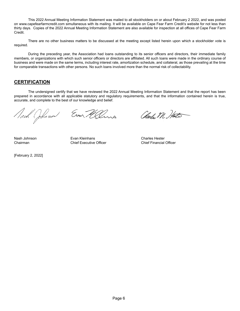This 2022 Annual Meeting Information Statement was mailed to all stockholders on or about February 2 2022, and was posted on <www.capefearfarmcredit.com>simultaneous with its mailing. It will be available on Cape Fear Farm Credit's website for not less than thirty days. Copies of the 2022 Annual Meeting Information Statement are also available for inspection at all offices of Cape Fear Farm Credit.

There are no other business matters to be discussed at the meeting except listed herein upon which a stockholder vote is required.

During the preceding year, the Association had loans outstanding to its senior officers and directors, their immediate family members, or organizations with which such senior officers or directors are affiliated. All such loans were made in the ordinary course of business and were made on the same terms, including interest rate, amortization schedule, and collateral, as those prevailing at the time for comparable transactions with other persons. No such loans involved more than the normal risk of collectability.

### **CERTIFICATION**

The undersigned certify that we have reviewed the 2022 Annual Meeting Information Statement and that the report has been prepared in accordance with all applicable statutory and regulatory requirements, and that the information contained herein is true, accurate, and complete to the best of our knowledge and belief.

Nach Johnson Evan Malina

Nash Johnson Chairman

Evan Kleinhans **Nash Johnson Evan Kleinhans** Charles Hester

Charles M. Heats

Chief Executive Officer Chief Financial Officer

[February 2, 2022]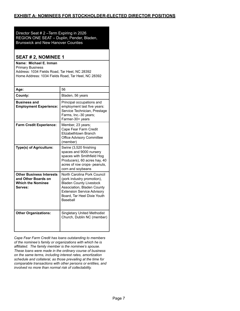Director Seat # 2 –Term Expiring in 2026 REGION ONE SEAT – Duplin, Pender, Bladen, Brunswick and New Hanover Counties

# **SEAT # 2, NOMINEE 1**

**Name: Michael E. Inman**  Primary Business Address: 1034 Fields Road, Tar Heel, NC 28392 Home Address: 1034 Fields Road, Tar Heel, NC 28392

| Age:                                                                                          | 56                                                                                                                                                                                                               |
|-----------------------------------------------------------------------------------------------|------------------------------------------------------------------------------------------------------------------------------------------------------------------------------------------------------------------|
| County:                                                                                       | Bladen, 56 years                                                                                                                                                                                                 |
| <b>Business and</b><br><b>Employment Experience:</b>                                          | Principal occupations and<br>employment last five years:<br>Service Technician, Prestage<br>Farms, Inc.-30 years;<br>Farmer-30+ years                                                                            |
| <b>Farm Credit Experience:</b>                                                                | Member, 23 years;<br>Cape Fear Farm Credit<br>Elizabethtown Branch<br><b>Office Advisory Committee</b><br>(member)                                                                                               |
| Type(s) of Agriculture:                                                                       | Swine (3,520 finishing<br>spaces and 9000 nursery<br>spaces with Smithfield Hog<br>Producers), 60 acres hay, 40<br>acres of row crops- peanuts,<br>corn and soybeans                                             |
| <b>Other Business Interests</b><br>and Other Boards on<br><b>Which the Nominee</b><br>Serves: | North Carolina Pork Council<br>(pork industry promotion),<br><b>Bladen County Livestock</b><br>Association, Bladen County<br><b>Extension Service Advisory</b><br>Board. Tar Heel Dixie Youth<br><b>Baseball</b> |
| <b>Other Organizations:</b>                                                                   | <b>Singletary United Methodist</b><br>Church, Dublin NC (member)                                                                                                                                                 |

*Cape Fear Farm Credit has loans outstanding to members of the nominee's family or organizations with which he is affiliated. The family member is the nominee's spouse. These loans were made in the ordinary course of business on the same terms, including interest rates, amortization schedule and collateral, as those prevailing at the time for comparable transactions with other persons or entities, and involved no more than normal risk of collectability.*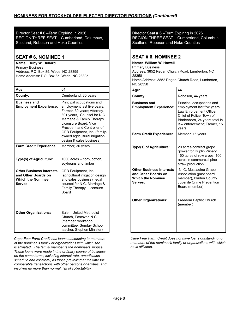Director Seat # 6 –Term Expiring in 2026 REGION THREE SEAT – Cumberland, Columbus, Scotland, Robeson and Hoke Counties

## **SEAT # 6, NOMINEE 1**

**Name: Ruby W. Bullard**  Primary Business Address: P.O. Box 85, Wade, NC 28395 Home Address: P.O. Box 85, Wade, NC 28395

| Age:                                                                                          | 64                                                                                                                                                                                                                                                                                                        |
|-----------------------------------------------------------------------------------------------|-----------------------------------------------------------------------------------------------------------------------------------------------------------------------------------------------------------------------------------------------------------------------------------------------------------|
| County:                                                                                       | Cumberland, 30 years                                                                                                                                                                                                                                                                                      |
| <b>Business and</b><br><b>Employment Experience:</b>                                          | Principal occupations and<br>employment last five years:<br>Farmer, 30 years; Attorney,<br>30+ years, Counsel for N.C.<br>Marriage & Family Therapy<br>Licensure Board: Vice<br>President and Controller of<br>GEB Equipment, Inc. (family-<br>owned agricultural irrigation<br>design & sales business), |
| <b>Farm Credit Experience:</b>                                                                | Member, 30 years                                                                                                                                                                                                                                                                                          |
| Type(s) of Agriculture:                                                                       | 1000 acres - corn, cotton,<br>soybeans and timber                                                                                                                                                                                                                                                         |
| <b>Other Business Interests</b><br>and Other Boards on<br><b>Which the Nominee</b><br>Serves: | GEB Equipment, Inc.<br>(agricultural irrigation design<br>and sales business), legal<br>counsel for N.C. Marriage &<br>Family Therapy Licensure<br><b>Board</b>                                                                                                                                           |
| <b>Other Organizations:</b>                                                                   | <b>Salem United Methodist</b><br>Church, Eastover, N.C.<br>(member, workshop<br>committee, Sunday School<br>teacher, Stephen Minister)                                                                                                                                                                    |

*Cape Fear Farm Credit has loans outstanding to members of the nominee's family or organizations with which she is affiliated. The family member is the nominee's spouse. These loans were made in the ordinary course of business on the same terms, including interest rate, amortization schedule and collateral, as those prevailing at the time for comparable transactions with other persons or entities, and involved no more than normal risk of collectability.*

Director Seat # 6 –Term Expiring in 2026 REGION THREE SEAT – Cumberland, Columbus, Scotland, Robeson and Hoke Counties

### **SEAT # 6, NOMINEE 2**

| Name: William W. Howell<br><b>Primary Business</b><br>Address: 3852 Regan Church Road, Lumberton, NC<br>28358<br>Home Address: 3852 Regan Church Road, Lumberton,<br><b>NC 28358</b> |                                                                                                                                                                                            |  |
|--------------------------------------------------------------------------------------------------------------------------------------------------------------------------------------|--------------------------------------------------------------------------------------------------------------------------------------------------------------------------------------------|--|
| Age:                                                                                                                                                                                 | 44                                                                                                                                                                                         |  |
| County:                                                                                                                                                                              | Robeson, 44 years                                                                                                                                                                          |  |
| <b>Business and</b><br><b>Employment Experience:</b>                                                                                                                                 | Principal occupations and<br>employment last five years:<br>Law Enforcement Officer,<br>Chief of Police, Town of<br>Bladenboro, 24 years total in<br>law enforcement; Farmer, 15<br>years. |  |
| <b>Farm Credit Experience:</b>                                                                                                                                                       | Member, 15 years                                                                                                                                                                           |  |
| Type(s) of Agriculture:                                                                                                                                                              | 20 acres-contract grape<br>grower for Duplin Winery,<br>150 acres of row crops, 100<br>acres in commercial pine<br>straw production                                                        |  |
| <b>Other Business Interests</b><br>and Other Boards on<br><b>Which the Nominee</b><br>Serves:                                                                                        | N. C. Muscadine Grape<br>Association (past board<br>member), Bladen County<br>Juvenile Crime Prevention<br>Board (member)                                                                  |  |
| <b>Other Organizations:</b>                                                                                                                                                          | Freedom Baptist Church<br>(member)                                                                                                                                                         |  |

*Cape Fear Farm Credit does not have loans outstanding to members of the nominee's family or organizations with which he is affiliated.*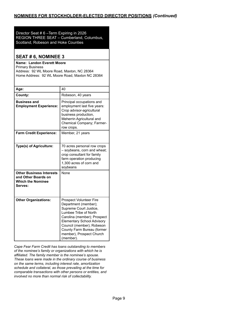Director Seat # 6 –Term Expiring in 2026 REGION THREE SEAT – Cumberland, Columbus, Scotland, Robeson and Hoke Counties

| <b>SEAT # 6, NOMINEE 3</b>                                                                                                                              |                                                                                                                                                                                                                                                                            |  |
|---------------------------------------------------------------------------------------------------------------------------------------------------------|----------------------------------------------------------------------------------------------------------------------------------------------------------------------------------------------------------------------------------------------------------------------------|--|
| Name: Landon Everett Moore<br><b>Primary Business</b><br>Address: 92 WL Moore Road, Maxton, NC 28364<br>Home Address: 92 WL Moore Road, Maxton NC 28364 |                                                                                                                                                                                                                                                                            |  |
| Age:                                                                                                                                                    | 40                                                                                                                                                                                                                                                                         |  |
| County:                                                                                                                                                 | Robeson, 40 years                                                                                                                                                                                                                                                          |  |
| <b>Business and</b><br><b>Employment Experience:</b>                                                                                                    | Principal occupations and<br>employment last five years:<br>Crop advisor-agricultural<br>business production,<br>Meherrin Agricultural and<br>Chemical Company; Farmer-<br>row crops.                                                                                      |  |
| <b>Farm Credit Experience:</b>                                                                                                                          | Member, 21 years                                                                                                                                                                                                                                                           |  |
| Type(s) of Agriculture:                                                                                                                                 | 70 acres personal row crops<br>- soybeans, corn and wheat;<br>crop consultant for family<br>farm operation producing<br>1,300 acres of corn and<br>soybeans                                                                                                                |  |
| <b>Other Business Interests</b><br>and Other Boards on<br><b>Which the Nominee</b><br>Serves:                                                           | None                                                                                                                                                                                                                                                                       |  |
| <b>Other Organizations:</b>                                                                                                                             | Prospect Volunteer Fire<br>Department (member);<br>Supreme Court Justice,<br>Lumbee Tribe of North<br>Carolina (member); Prospect<br><b>Elementary School Advisory</b><br>Council (member); Robeson<br>County Farm Bureau (former<br>member), Prospect Church<br>(member). |  |

*Cape Fear Farm Credit has loans outstanding to members of the nominee's family or organizations with which he is affiliated. The family member is the nominee's spouse. These loans were made in the ordinary course of business on the same terms, including interest rate, amortization schedule and collateral, as those prevailing at the time for comparable transactions with other persons or entities, and involved no more than normal risk of collectability.*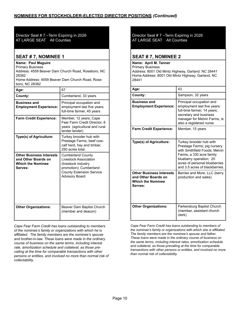Director Seat # 7 –Term Expiring in 2026 AT LARGE SEAT All Counties

# **SEAT # 7, NOMINEE 1**

**Name: Paul Maguire** 

Primary Business Address: 4559 Beaver Dam Church Road, Roseboro, NC

28382 Home Address: 4559 Beaver Dam Church Road, Rose-

boro, NC 28382

| Age:                                                                                          | 67                                                                                                                                                                    |
|-----------------------------------------------------------------------------------------------|-----------------------------------------------------------------------------------------------------------------------------------------------------------------------|
| County:                                                                                       | Cumberland, 33 years                                                                                                                                                  |
| <b>Business and</b><br><b>Employment Experience:</b>                                          | Principal occupation and<br>employment last five years:<br>full-time farmer, 45 years                                                                                 |
| <b>Farm Credit Experience:</b>                                                                | Member, 12 years; Cape<br>Fear Farm Credit Director, 8<br>years (agricultural and rural<br>lender lender)                                                             |
| Type(s) of Agriculture:                                                                       | Turkey brooder hub with<br>Prestage Farms, beef cow-<br>calf herd, hay and timber,<br>250 acres total.                                                                |
| <b>Other Business Interests</b><br>and Other Boards on<br><b>Which the Nominee</b><br>Serves: | <b>Cumberland County</b><br><b>Livestock Association</b><br>(livestock industry<br>promotion); Cumberland<br><b>County Extension Service</b><br><b>Advisory Board</b> |
| <b>Other Organizations:</b>                                                                   | Beaver Dam Baptist Church<br>(member and deacon)                                                                                                                      |

*Cape Fear Farm Credit has loans outstanding to members of the nominee's family or organizations with which he is affiliated. The family members are the nominee's spouse and brother-in-law. These loans were made in the ordinary course of business on the same terms, including interest rate, amortization schedule and collateral, as those prevailing at the time for comparable transactions with other persons or entities, and involved no more than normal risk of collectability.*

All Counties **All Counties AT LARGE SEAT** All Counties Director Seat # 7 –Term Expiring in 2026

### **SEAT # 7, NOMINEE 2**

**Name: April M. Tanner**  Primary Business Address: 8001 Old Mintz Highway, Garland. NC 28441 Home Address: 8001 Old Mintz Highway, Garland, NC 28441

| Age:                                                                                          | 43                                                                                                                                                                                                                |
|-----------------------------------------------------------------------------------------------|-------------------------------------------------------------------------------------------------------------------------------------------------------------------------------------------------------------------|
| County:                                                                                       | Sampson, 32 years                                                                                                                                                                                                 |
| <b>Business and</b><br><b>Employment Experience:</b>                                          | Principal occupation and<br>employment last five years:<br>full-time farmer, 14 years;<br>secretary and business<br>manager for Melvin Farms, is<br>also a registered nurse                                       |
| <b>Farm Credit Experience:</b>                                                                | Member, 15 years                                                                                                                                                                                                  |
| Type(s) of Agriculture:                                                                       | Turkey brooder hub with<br>Prestage Farms; pig nursery<br>with Smithfield Foods: Melvin<br>Farms, a 330 acre family<br>blueberry operation; 20<br>acres of personal blueberries<br>and 3.5 acres of blackberries. |
| <b>Other Business Interests</b><br>and Other Boards on<br><b>Which the Nominee</b><br>Serves: | Berries and More, LLC (berry<br>production and sales)                                                                                                                                                             |
| <b>Other Organizations:</b>                                                                   | Parkersburg Baptist Church<br>(member, assistant church<br>clerk)                                                                                                                                                 |

*Cape Fear Farm Credit has loans outstanding to members of the nominee's family or organizations with which she is affiliated. The family members are the nominee's spouse and father. These loans were made in the ordinary course of business on the same terms, including interest rates, amortization schedule and collateral, as those prevailing at the time for comparable transactions with other persons or entities, and involved no more than normal risk of collectability.*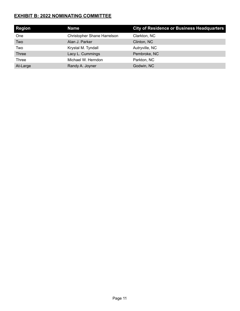# **EXHIBIT B: 2022 NOMINATING COMMITTEE**

| <b>Region</b> | <b>Name</b>                        | <b>City of Residence or Business Headquarters</b> |
|---------------|------------------------------------|---------------------------------------------------|
| One           | <b>Christopher Shane Harrelson</b> | Clarkton, NC                                      |
| <b>Two</b>    | Alan J. Parker                     | Clinton, NC                                       |
| Two           | Krystal M. Tyndall                 | Autryville, NC                                    |
| <b>Three</b>  | Lacy L. Cummings                   | Pembroke, NC                                      |
| Three         | Michael W. Herndon                 | Parkton, NC                                       |
| At-Large      | Randy A. Joyner                    | Godwin, NC                                        |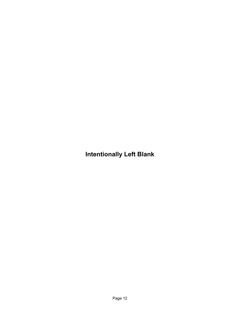**Intentionally Left Blank**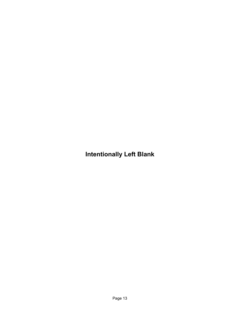**Intentionally Left Blank**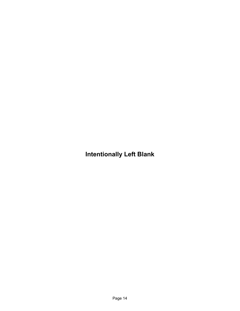**Intentionally Left Blank**